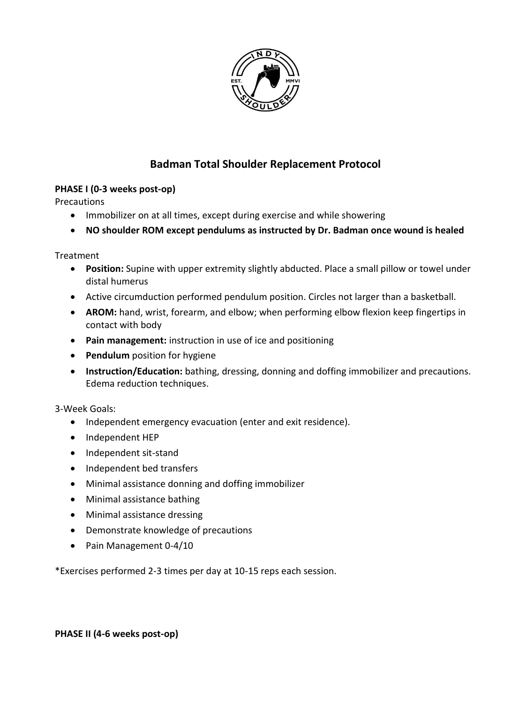

# **Badman Total Shoulder Replacement Protocol**

## **PHASE I (0-3 weeks post-op)**

**Precautions** 

- Immobilizer on at all times, except during exercise and while showering
- **NO shoulder ROM except pendulums as instructed by Dr. Badman once wound is healed**

Treatment

- **Position:** Supine with upper extremity slightly abducted. Place a small pillow or towel under distal humerus
- Active circumduction performed pendulum position. Circles not larger than a basketball.
- **AROM:** hand, wrist, forearm, and elbow; when performing elbow flexion keep fingertips in contact with body
- **Pain management:** instruction in use of ice and positioning
- **•** Pendulum position for hygiene
- **Instruction/Education:** bathing, dressing, donning and doffing immobilizer and precautions. Edema reduction techniques.

3-Week Goals:

- Independent emergency evacuation (enter and exit residence).
- Independent HEP
- Independent sit-stand
- Independent bed transfers
- Minimal assistance donning and doffing immobilizer
- Minimal assistance bathing
- Minimal assistance dressing
- Demonstrate knowledge of precautions
- Pain Management 0-4/10

\*Exercises performed 2-3 times per day at 10-15 reps each session.

**PHASE II (4-6 weeks post-op)**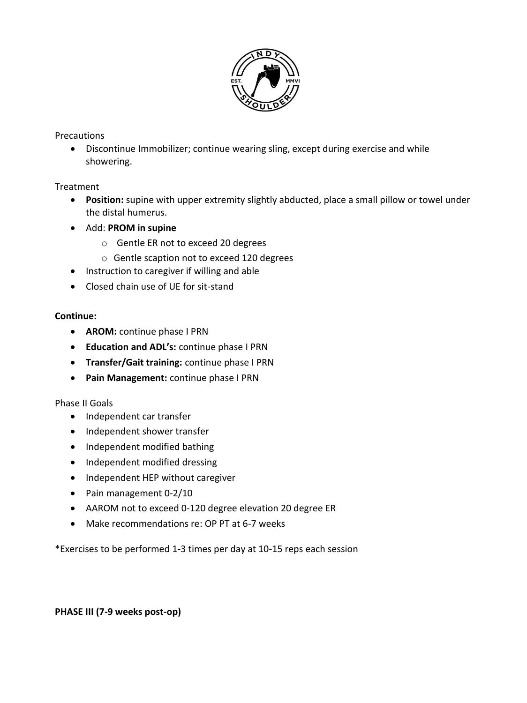

#### **Precautions**

 Discontinue Immobilizer; continue wearing sling, except during exercise and while showering.

#### Treatment

- **Position:** supine with upper extremity slightly abducted, place a small pillow or towel under the distal humerus.
- Add: **PROM in supine** 
	- o Gentle ER not to exceed 20 degrees
	- o Gentle scaption not to exceed 120 degrees
- Instruction to caregiver if willing and able
- Closed chain use of UE for sit-stand

#### **Continue:**

- **AROM:** continue phase I PRN
- **Education and ADL's:** continue phase I PRN
- **Transfer/Gait training:** continue phase I PRN
- **Pain Management:** continue phase I PRN

#### Phase II Goals

- Independent car transfer
- Independent shower transfer
- Independent modified bathing
- Independent modified dressing
- Independent HEP without caregiver
- Pain management 0-2/10
- AAROM not to exceed 0-120 degree elevation 20 degree ER
- Make recommendations re: OP PT at 6-7 weeks

\*Exercises to be performed 1-3 times per day at 10-15 reps each session

#### **PHASE III (7-9 weeks post-op)**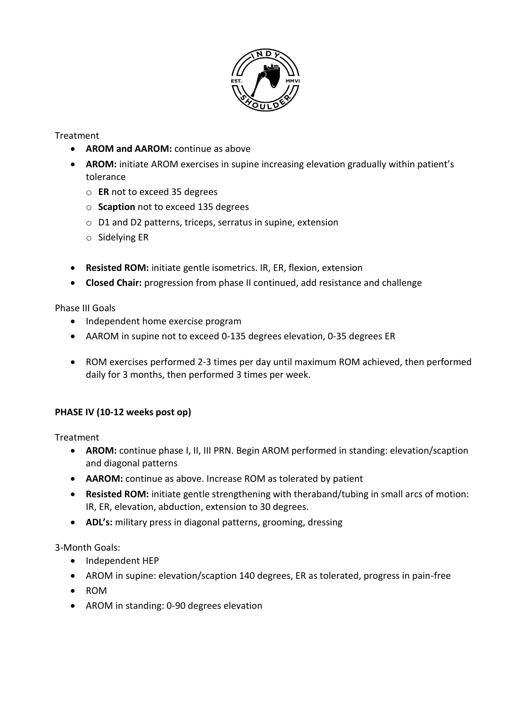

## Treatment

- **AROM and AAROM:** continue as above
- **AROM:** initiate AROM exercises in supine increasing elevation gradually within patient's tolerance
	- o **ER** not to exceed 35 degrees
	- o **Scaption** not to exceed 135 degrees
	- o D1 and D2 patterns, triceps, serratus in supine, extension
	- o Sidelying ER
- **Resisted ROM:** initiate gentle isometrics. IR, ER, flexion, extension
- **Closed Chair:** progression from phase II continued, add resistance and challenge

Phase III Goals

- Independent home exercise program
- AAROM in supine not to exceed 0-135 degrees elevation, 0-35 degrees ER
- ROM exercises performed 2-3 times per day until maximum ROM achieved, then performed daily for 3 months, then performed 3 times per week.

# **PHASE IV (10-12 weeks post op)**

Treatment

- **AROM:** continue phase I, II, III PRN. Begin AROM performed in standing: elevation/scaption and diagonal patterns
- **AAROM:** continue as above. Increase ROM as tolerated by patient
- **Resisted ROM:** initiate gentle strengthening with theraband/tubing in small arcs of motion: IR, ER, elevation, abduction, extension to 30 degrees.
- **ADL's:** military press in diagonal patterns, grooming, dressing

3-Month Goals:

- Independent HEP
- AROM in supine: elevation/scaption 140 degrees, ER as tolerated, progress in pain-free
- ROM
- AROM in standing: 0-90 degrees elevation